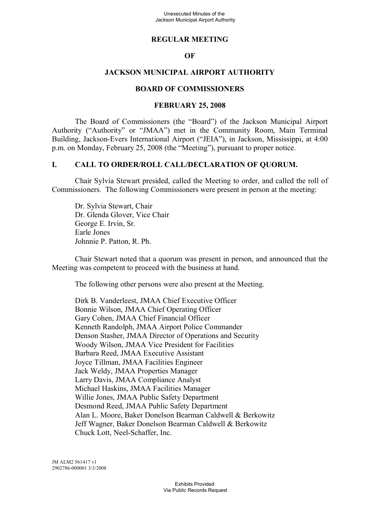### **REGULAR MEETING**

#### **OF**

#### **JACKSON MUNICIPAL AIRPORT AUTHORITY**

#### **BOARD OF COMMISSIONERS**

#### **FEBRUARY 25, 2008**

The Board of Commissioners (the "Board") of the Jackson Municipal Airport Authority ("Authority" or "JMAA") met in the Community Room, Main Terminal Building, Jackson-Evers International Airport ("JEIA"), in Jackson, Mississippi, at 4:00 p.m. on Monday, February 25, 2008 (the "Meeting"), pursuant to proper notice.

#### **I. CALL TO ORDER/ROLL CALL/DECLARATION OF QUORUM.**

Chair Sylvia Stewart presided, called the Meeting to order, and called the roll of Commissioners. The following Commissioners were present in person at the meeting:

Dr. Sylvia Stewart, Chair Dr. Glenda Glover, Vice Chair George E. Irvin, Sr. Earle Jones Johnnie P. Patton, R. Ph.

Chair Stewart noted that a quorum was present in person, and announced that the Meeting was competent to proceed with the business at hand.

The following other persons were also present at the Meeting.

Dirk B. Vanderleest, JMAA Chief Executive Officer Bonnie Wilson, JMAA Chief Operating Officer Gary Cohen, JMAA Chief Financial Officer Kenneth Randolph, JMAA Airport Police Commander Denson Stasher, JMAA Director of Operations and Security Woody Wilson, JMAA Vice President for Facilities Barbara Reed, JMAA Executive Assistant Joyce Tillman, JMAA Facilities Engineer Jack Weldy, JMAA Properties Manager Larry Davis, JMAA Compliance Analyst Michael Haskins, JMAA Facilities Manager Willie Jones, JMAA Public Safety Department Desmond Reed, JMAA Public Safety Department Alan L. Moore, Baker Donelson Bearman Caldwell & Berkowitz Jeff Wagner, Baker Donelson Bearman Caldwell & Berkowitz Chuck Lott, Neel-Schaffer, Inc.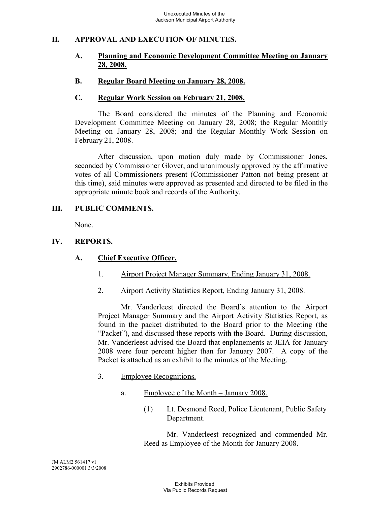## **II. APPROVAL AND EXECUTION OF MINUTES.**

## **A. Planning and Economic Development Committee Meeting on January 28, 2008.**

#### **B. Regular Board Meeting on January 28, 2008.**

#### **C. Regular Work Session on February 21, 2008.**

The Board considered the minutes of the Planning and Economic Development Committee Meeting on January 28, 2008; the Regular Monthly Meeting on January 28, 2008; and the Regular Monthly Work Session on February 21, 2008.

After discussion, upon motion duly made by Commissioner Jones, seconded by Commissioner Glover, and unanimously approved by the affirmative votes of all Commissioners present (Commissioner Patton not being present at this time), said minutes were approved as presented and directed to be filed in the appropriate minute book and records of the Authority.

#### **III. PUBLIC COMMENTS.**

None.

#### **IV. REPORTS.**

#### **A. Chief Executive Officer.**

- 1. Airport Project Manager Summary, Ending January 31, 2008.
- 2. Airport Activity Statistics Report, Ending January 31, 2008.

Mr. Vanderleest directed the Board's attention to the Airport Project Manager Summary and the Airport Activity Statistics Report, as found in the packet distributed to the Board prior to the Meeting (the "Packet"), and discussed these reports with the Board. During discussion, Mr. Vanderleest advised the Board that enplanements at JEIA for January 2008 were four percent higher than for January 2007. A copy of the Packet is attached as an exhibit to the minutes of the Meeting.

- 3. Employee Recognitions.
	- a. Employee of the Month January 2008.
		- (1) Lt. Desmond Reed, Police Lieutenant, Public Safety Department.

Mr. Vanderleest recognized and commended Mr. Reed as Employee of the Month for January 2008.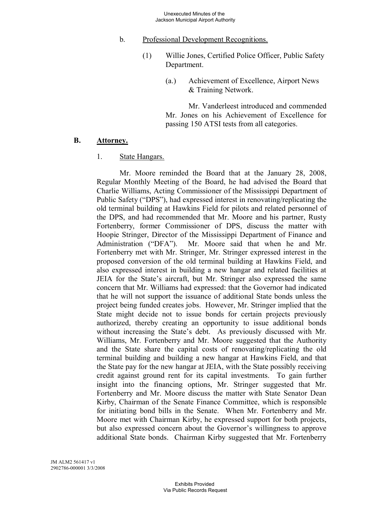- b. Professional Development Recognitions.
	- (1) Willie Jones, Certified Police Officer, Public Safety Department.
		- (a.) Achievement of Excellence, Airport News & Training Network.

Mr. Vanderleest introduced and commended Mr. Jones on his Achievement of Excellence for passing 150 ATSI tests from all categories.

#### **B. Attorney.**

1. State Hangars.

Mr. Moore reminded the Board that at the January 28, 2008, Regular Monthly Meeting of the Board, he had advised the Board that Charlie Williams, Acting Commissioner of the Mississippi Department of Public Safety ("DPS"), had expressed interest in renovating/replicating the old terminal building at Hawkins Field for pilots and related personnel of the DPS, and had recommended that Mr. Moore and his partner, Rusty Fortenberry, former Commissioner of DPS, discuss the matter with Hoopie Stringer, Director of the Mississippi Department of Finance and Administration ("DFA"). Mr. Moore said that when he and Mr. Fortenberry met with Mr. Stringer, Mr. Stringer expressed interest in the proposed conversion of the old terminal building at Hawkins Field, and also expressed interest in building a new hangar and related facilities at JEIA for the State's aircraft, but Mr. Stringer also expressed the same concern that Mr. Williams had expressed: that the Governor had indicated that he will not support the issuance of additional State bonds unless the project being funded creates jobs. However, Mr. Stringer implied that the State might decide not to issue bonds for certain projects previously authorized, thereby creating an opportunity to issue additional bonds without increasing the State's debt. As previously discussed with Mr. Williams, Mr. Fortenberry and Mr. Moore suggested that the Authority and the State share the capital costs of renovating/replicating the old terminal building and building a new hangar at Hawkins Field, and that the State pay for the new hangar at JEIA, with the State possibly receiving credit against ground rent for its capital investments. To gain further insight into the financing options, Mr. Stringer suggested that Mr. Fortenberry and Mr. Moore discuss the matter with State Senator Dean Kirby, Chairman of the Senate Finance Committee, which is responsible for initiating bond bills in the Senate. When Mr. Fortenberry and Mr. Moore met with Chairman Kirby, he expressed support for both projects, but also expressed concern about the Governor's willingness to approve additional State bonds. Chairman Kirby suggested that Mr. Fortenberry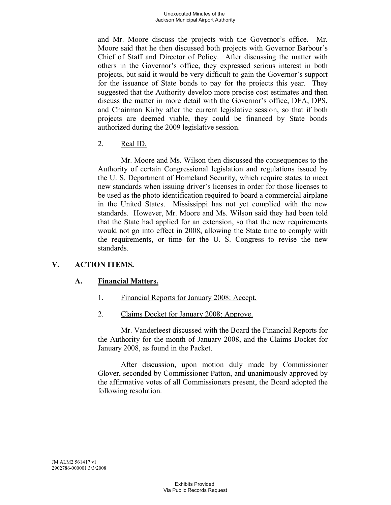and Mr. Moore discuss the projects with the Governor's office. Mr. Moore said that he then discussed both projects with Governor Barbour's Chief of Staff and Director of Policy. After discussing the matter with others in the Governor's office, they expressed serious interest in both projects, but said it would be very difficult to gain the Governor's support for the issuance of State bonds to pay for the projects this year. They suggested that the Authority develop more precise cost estimates and then discuss the matter in more detail with the Governor's office, DFA, DPS, and Chairman Kirby after the current legislative session, so that if both projects are deemed viable, they could be financed by State bonds authorized during the 2009 legislative session.

2. Real ID.

Mr. Moore and Ms. Wilson then discussed the consequences to the Authority of certain Congressional legislation and regulations issued by the U. S. Department of Homeland Security, which require states to meet new standards when issuing driver's licenses in order for those licenses to be used as the photo identification required to board a commercial airplane in the United States. Mississippi has not yet complied with the new standards. However, Mr. Moore and Ms. Wilson said they had been told that the State had applied for an extension, so that the new requirements would not go into effect in 2008, allowing the State time to comply with the requirements, or time for the U. S. Congress to revise the new standards.

## **V. ACTION ITEMS.**

## **A. Financial Matters.**

- 1. Financial Reports for January 2008: Accept.
- 2. Claims Docket for January 2008: Approve.

Mr. Vanderleest discussed with the Board the Financial Reports for the Authority for the month of January 2008, and the Claims Docket for January 2008, as found in the Packet.

After discussion, upon motion duly made by Commissioner Glover, seconded by Commissioner Patton, and unanimously approved by the affirmative votes of all Commissioners present, the Board adopted the following resolution.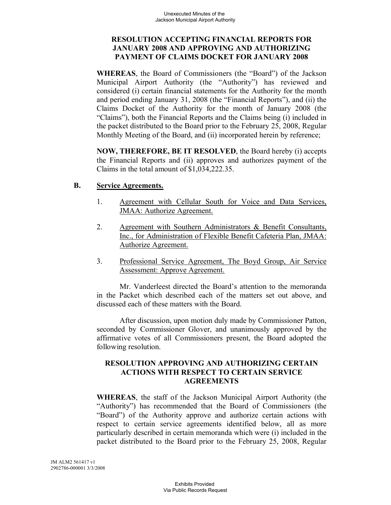## **RESOLUTION ACCEPTING FINANCIAL REPORTS FOR JANUARY 2008 AND APPROVING AND AUTHORIZING PAYMENT OF CLAIMS DOCKET FOR JANUARY 2008**

**WHEREAS**, the Board of Commissioners (the "Board") of the Jackson Municipal Airport Authority (the "Authority") has reviewed and considered (i) certain financial statements for the Authority for the month and period ending January 31, 2008 (the "Financial Reports"), and (ii) the Claims Docket of the Authority for the month of January 2008 (the "Claims"), both the Financial Reports and the Claims being (i) included in the packet distributed to the Board prior to the February 25, 2008, Regular Monthly Meeting of the Board, and (ii) incorporated herein by reference;

**NOW, THEREFORE, BE IT RESOLVED**, the Board hereby (i) accepts the Financial Reports and (ii) approves and authorizes payment of the Claims in the total amount of \$1,034,222.35.

## **B. Service Agreements.**

- 1. Agreement with Cellular South for Voice and Data Services, JMAA: Authorize Agreement.
- 2. Agreement with Southern Administrators & Benefit Consultants, Inc., for Administration of Flexible Benefit Cafeteria Plan, JMAA: Authorize Agreement.
- 3. Professional Service Agreement, The Boyd Group, Air Service Assessment: Approve Agreement.

Mr. Vanderleest directed the Board's attention to the memoranda in the Packet which described each of the matters set out above, and discussed each of these matters with the Board.

After discussion, upon motion duly made by Commissioner Patton, seconded by Commissioner Glover, and unanimously approved by the affirmative votes of all Commissioners present, the Board adopted the following resolution.

## **RESOLUTION APPROVING AND AUTHORIZING CERTAIN ACTIONS WITH RESPECT TO CERTAIN SERVICE AGREEMENTS**

**WHEREAS**, the staff of the Jackson Municipal Airport Authority (the "Authority") has recommended that the Board of Commissioners (the "Board") of the Authority approve and authorize certain actions with respect to certain service agreements identified below, all as more particularly described in certain memoranda which were (i) included in the packet distributed to the Board prior to the February 25, 2008, Regular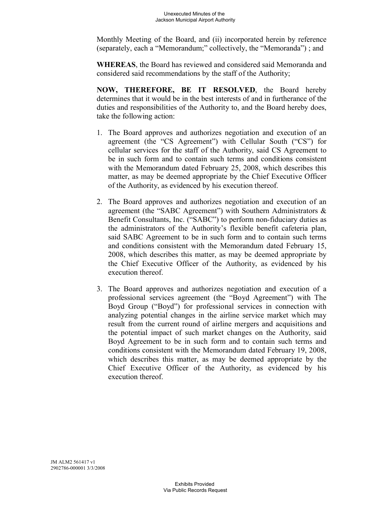Monthly Meeting of the Board, and (ii) incorporated herein by reference (separately, each a "Memorandum;" collectively, the "Memoranda") ; and

**WHEREAS**, the Board has reviewed and considered said Memoranda and considered said recommendations by the staff of the Authority;

**NOW, THEREFORE, BE IT RESOLVED**, the Board hereby determines that it would be in the best interests of and in furtherance of the duties and responsibilities of the Authority to, and the Board hereby does, take the following action:

- 1. The Board approves and authorizes negotiation and execution of an agreement (the "CS Agreement") with Cellular South ("CS") for cellular services for the staff of the Authority, said CS Agreement to be in such form and to contain such terms and conditions consistent with the Memorandum dated February 25, 2008, which describes this matter, as may be deemed appropriate by the Chief Executive Officer of the Authority, as evidenced by his execution thereof.
- 2. The Board approves and authorizes negotiation and execution of an agreement (the "SABC Agreement") with Southern Administrators & Benefit Consultants, Inc. ("SABC") to perform non-fiduciary duties as the administrators of the Authority's flexible benefit cafeteria plan, said SABC Agreement to be in such form and to contain such terms and conditions consistent with the Memorandum dated February 15, 2008, which describes this matter, as may be deemed appropriate by the Chief Executive Officer of the Authority, as evidenced by his execution thereof.
- 3. The Board approves and authorizes negotiation and execution of a professional services agreement (the "Boyd Agreement") with The Boyd Group ("Boyd") for professional services in connection with analyzing potential changes in the airline service market which may result from the current round of airline mergers and acquisitions and the potential impact of such market changes on the Authority, said Boyd Agreement to be in such form and to contain such terms and conditions consistent with the Memorandum dated February 19, 2008, which describes this matter, as may be deemed appropriate by the Chief Executive Officer of the Authority, as evidenced by his execution thereof.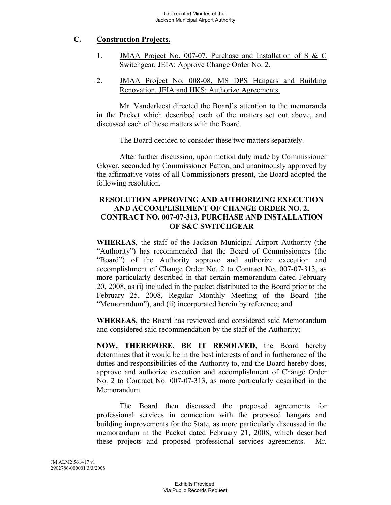## **C. Construction Projects.**

- 1. **JMAA Project No. 007-07, Purchase and Installation of S & C** Switchgear, JEIA: Approve Change Order No. 2.
- 2. JMAA Project No. 008-08, MS DPS Hangars and Building Renovation, JEIA and HKS: Authorize Agreements.

Mr. Vanderleest directed the Board's attention to the memoranda in the Packet which described each of the matters set out above, and discussed each of these matters with the Board.

The Board decided to consider these two matters separately.

After further discussion, upon motion duly made by Commissioner Glover, seconded by Commissioner Patton, and unanimously approved by the affirmative votes of all Commissioners present, the Board adopted the following resolution.

## **RESOLUTION APPROVING AND AUTHORIZING EXECUTION AND ACCOMPLISHMENT OF CHANGE ORDER NO. 2, CONTRACT NO. 007-07-313, PURCHASE AND INSTALLATION OF S&C SWITCHGEAR**

**WHEREAS**, the staff of the Jackson Municipal Airport Authority (the "Authority") has recommended that the Board of Commissioners (the "Board") of the Authority approve and authorize execution and accomplishment of Change Order No. 2 to Contract No. 007-07-313, as more particularly described in that certain memorandum dated February 20, 2008, as (i) included in the packet distributed to the Board prior to the February 25, 2008, Regular Monthly Meeting of the Board (the "Memorandum"), and (ii) incorporated herein by reference; and

**WHEREAS**, the Board has reviewed and considered said Memorandum and considered said recommendation by the staff of the Authority;

**NOW, THEREFORE, BE IT RESOLVED**, the Board hereby determines that it would be in the best interests of and in furtherance of the duties and responsibilities of the Authority to, and the Board hereby does, approve and authorize execution and accomplishment of Change Order No. 2 to Contract No. 007-07-313, as more particularly described in the Memorandum.

The Board then discussed the proposed agreements for professional services in connection with the proposed hangars and building improvements for the State, as more particularly discussed in the memorandum in the Packet dated February 21, 2008, which described these projects and proposed professional services agreements. Mr.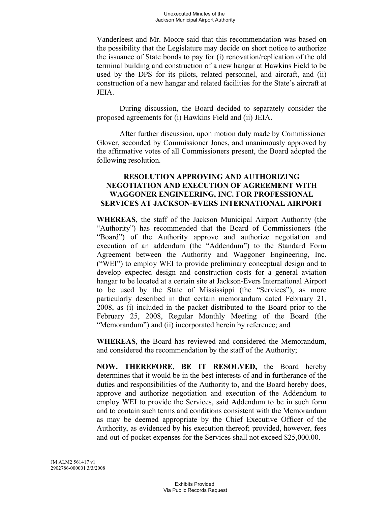Vanderleest and Mr. Moore said that this recommendation was based on the possibility that the Legislature may decide on short notice to authorize the issuance of State bonds to pay for (i) renovation/replication of the old terminal building and construction of a new hangar at Hawkins Field to be used by the DPS for its pilots, related personnel, and aircraft, and (ii) construction of a new hangar and related facilities for the State's aircraft at JEIA.

During discussion, the Board decided to separately consider the proposed agreements for (i) Hawkins Field and (ii) JEIA.

After further discussion, upon motion duly made by Commissioner Glover, seconded by Commissioner Jones, and unanimously approved by the affirmative votes of all Commissioners present, the Board adopted the following resolution.

## **RESOLUTION APPROVING AND AUTHORIZING NEGOTIATION AND EXECUTION OF AGREEMENT WITH WAGGONER ENGINEERING, INC. FOR PROFESSIONAL SERVICES AT JACKSON-EVERS INTERNATIONAL AIRPORT**

**WHEREAS**, the staff of the Jackson Municipal Airport Authority (the "Authority") has recommended that the Board of Commissioners (the "Board") of the Authority approve and authorize negotiation and execution of an addendum (the "Addendum") to the Standard Form Agreement between the Authority and Waggoner Engineering, Inc. ("WEI") to employ WEI to provide preliminary conceptual design and to develop expected design and construction costs for a general aviation hangar to be located at a certain site at Jackson-Evers International Airport to be used by the State of Mississippi (the "Services"), as more particularly described in that certain memorandum dated February 21, 2008, as (i) included in the packet distributed to the Board prior to the February 25, 2008, Regular Monthly Meeting of the Board (the "Memorandum") and (ii) incorporated herein by reference; and

**WHEREAS**, the Board has reviewed and considered the Memorandum, and considered the recommendation by the staff of the Authority;

**NOW, THEREFORE, BE IT RESOLVED,** the Board hereby determines that it would be in the best interests of and in furtherance of the duties and responsibilities of the Authority to, and the Board hereby does, approve and authorize negotiation and execution of the Addendum to employ WEI to provide the Services, said Addendum to be in such form and to contain such terms and conditions consistent with the Memorandum as may be deemed appropriate by the Chief Executive Officer of the Authority, as evidenced by his execution thereof; provided, however, fees and out-of-pocket expenses for the Services shall not exceed \$25,000.00.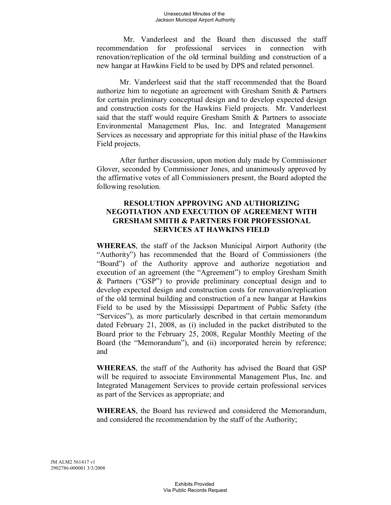#### Unexecuted Minutes of the Jackson Municipal Airport Authority

Mr. Vanderleest and the Board then discussed the staff recommendation for professional services in connection with renovation/replication of the old terminal building and construction of a new hangar at Hawkins Field to be used by DPS and related personnel.

Mr. Vanderleest said that the staff recommended that the Board authorize him to negotiate an agreement with Gresham Smith & Partners for certain preliminary conceptual design and to develop expected design and construction costs for the Hawkins Field projects. Mr. Vanderleest said that the staff would require Gresham Smith & Partners to associate Environmental Management Plus, Inc. and Integrated Management Services as necessary and appropriate for this initial phase of the Hawkins Field projects.

After further discussion, upon motion duly made by Commissioner Glover, seconded by Commissioner Jones, and unanimously approved by the affirmative votes of all Commissioners present, the Board adopted the following resolution.

#### **RESOLUTION APPROVING AND AUTHORIZING NEGOTIATION AND EXECUTION OF AGREEMENT WITH GRESHAM SMITH & PARTNERS FOR PROFESSIONAL SERVICES AT HAWKINS FIELD**

**WHEREAS**, the staff of the Jackson Municipal Airport Authority (the "Authority") has recommended that the Board of Commissioners (the "Board") of the Authority approve and authorize negotiation and execution of an agreement (the "Agreement") to employ Gresham Smith & Partners ("GSP") to provide preliminary conceptual design and to develop expected design and construction costs for renovation/replication of the old terminal building and construction of a new hangar at Hawkins Field to be used by the Mississippi Department of Public Safety (the "Services"), as more particularly described in that certain memorandum dated February 21, 2008, as (i) included in the packet distributed to the Board prior to the February 25, 2008, Regular Monthly Meeting of the Board (the "Memorandum"), and (ii) incorporated herein by reference; and

**WHEREAS**, the staff of the Authority has advised the Board that GSP will be required to associate Environmental Management Plus, Inc. and Integrated Management Services to provide certain professional services as part of the Services as appropriate; and

**WHEREAS**, the Board has reviewed and considered the Memorandum, and considered the recommendation by the staff of the Authority;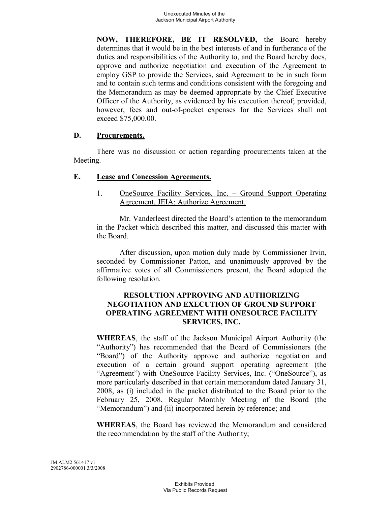**NOW, THEREFORE, BE IT RESOLVED,** the Board hereby determines that it would be in the best interests of and in furtherance of the duties and responsibilities of the Authority to, and the Board hereby does, approve and authorize negotiation and execution of the Agreement to employ GSP to provide the Services, said Agreement to be in such form and to contain such terms and conditions consistent with the foregoing and the Memorandum as may be deemed appropriate by the Chief Executive Officer of the Authority, as evidenced by his execution thereof; provided, however, fees and out-of-pocket expenses for the Services shall not exceed \$75,000.00.

#### **D. Procurements.**

There was no discussion or action regarding procurements taken at the Meeting.

#### **E. Lease and Concession Agreements.**

1. OneSource Facility Services, Inc. – Ground Support Operating Agreement, JEIA: Authorize Agreement.

Mr. Vanderleest directed the Board's attention to the memorandum in the Packet which described this matter, and discussed this matter with the Board.

After discussion, upon motion duly made by Commissioner Irvin, seconded by Commissioner Patton, and unanimously approved by the affirmative votes of all Commissioners present, the Board adopted the following resolution.

#### **RESOLUTION APPROVING AND AUTHORIZING NEGOTIATION AND EXECUTION OF GROUND SUPPORT OPERATING AGREEMENT WITH ONESOURCE FACILITY SERVICES, INC.**

**WHEREAS**, the staff of the Jackson Municipal Airport Authority (the "Authority") has recommended that the Board of Commissioners (the "Board") of the Authority approve and authorize negotiation and execution of a certain ground support operating agreement (the "Agreement") with OneSource Facility Services, Inc. ("OneSource"), as more particularly described in that certain memorandum dated January 31, 2008, as (i) included in the packet distributed to the Board prior to the February 25, 2008, Regular Monthly Meeting of the Board (the "Memorandum") and (ii) incorporated herein by reference; and

**WHEREAS**, the Board has reviewed the Memorandum and considered the recommendation by the staff of the Authority;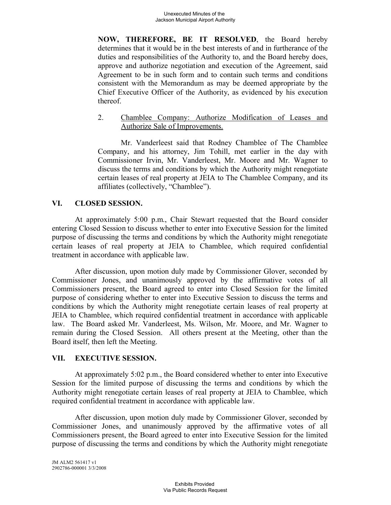**NOW, THEREFORE, BE IT RESOLVED**, the Board hereby determines that it would be in the best interests of and in furtherance of the duties and responsibilities of the Authority to, and the Board hereby does, approve and authorize negotiation and execution of the Agreement, said Agreement to be in such form and to contain such terms and conditions consistent with the Memorandum as may be deemed appropriate by the Chief Executive Officer of the Authority, as evidenced by his execution thereof.

#### 2. Chamblee Company: Authorize Modification of Leases and Authorize Sale of Improvements.

Mr. Vanderleest said that Rodney Chamblee of The Chamblee Company, and his attorney, Jim Tohill, met earlier in the day with Commissioner Irvin, Mr. Vanderleest, Mr. Moore and Mr. Wagner to discuss the terms and conditions by which the Authority might renegotiate certain leases of real property at JEIA to The Chamblee Company, and its affiliates (collectively, "Chamblee").

## **VI. CLOSED SESSION.**

At approximately 5:00 p.m., Chair Stewart requested that the Board consider entering Closed Session to discuss whether to enter into Executive Session for the limited purpose of discussing the terms and conditions by which the Authority might renegotiate certain leases of real property at JEIA to Chamblee, which required confidential treatment in accordance with applicable law.

After discussion, upon motion duly made by Commissioner Glover, seconded by Commissioner Jones, and unanimously approved by the affirmative votes of all Commissioners present, the Board agreed to enter into Closed Session for the limited purpose of considering whether to enter into Executive Session to discuss the terms and conditions by which the Authority might renegotiate certain leases of real property at JEIA to Chamblee, which required confidential treatment in accordance with applicable law. The Board asked Mr. Vanderleest, Ms. Wilson, Mr. Moore, and Mr. Wagner to remain during the Closed Session. All others present at the Meeting, other than the Board itself, then left the Meeting.

## **VII. EXECUTIVE SESSION.**

At approximately 5:02 p.m., the Board considered whether to enter into Executive Session for the limited purpose of discussing the terms and conditions by which the Authority might renegotiate certain leases of real property at JEIA to Chamblee, which required confidential treatment in accordance with applicable law.

After discussion, upon motion duly made by Commissioner Glover, seconded by Commissioner Jones, and unanimously approved by the affirmative votes of all Commissioners present, the Board agreed to enter into Executive Session for the limited purpose of discussing the terms and conditions by which the Authority might renegotiate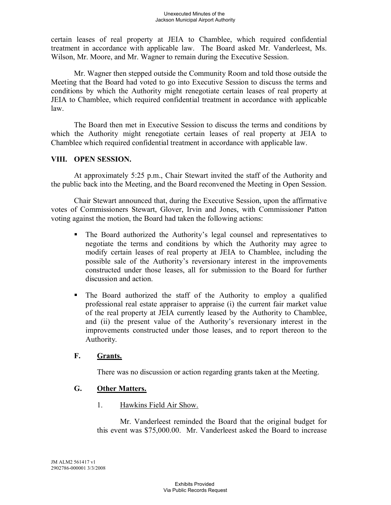certain leases of real property at JEIA to Chamblee, which required confidential treatment in accordance with applicable law. The Board asked Mr. Vanderleest, Ms. Wilson, Mr. Moore, and Mr. Wagner to remain during the Executive Session.

Mr. Wagner then stepped outside the Community Room and told those outside the Meeting that the Board had voted to go into Executive Session to discuss the terms and conditions by which the Authority might renegotiate certain leases of real property at JEIA to Chamblee, which required confidential treatment in accordance with applicable law.

The Board then met in Executive Session to discuss the terms and conditions by which the Authority might renegotiate certain leases of real property at JEIA to Chamblee which required confidential treatment in accordance with applicable law.

## **VIII. OPEN SESSION.**

At approximately 5:25 p.m., Chair Stewart invited the staff of the Authority and the public back into the Meeting, and the Board reconvened the Meeting in Open Session.

Chair Stewart announced that, during the Executive Session, upon the affirmative votes of Commissioners Stewart, Glover, Irvin and Jones, with Commissioner Patton voting against the motion, the Board had taken the following actions:

- § The Board authorized the Authority's legal counsel and representatives to negotiate the terms and conditions by which the Authority may agree to modify certain leases of real property at JEIA to Chamblee, including the possible sale of the Authority's reversionary interest in the improvements constructed under those leases, all for submission to the Board for further discussion and action.
- § The Board authorized the staff of the Authority to employ a qualified professional real estate appraiser to appraise (i) the current fair market value of the real property at JEIA currently leased by the Authority to Chamblee, and (ii) the present value of the Authority's reversionary interest in the improvements constructed under those leases, and to report thereon to the Authority.

## **F. Grants.**

There was no discussion or action regarding grants taken at the Meeting.

## **G. Other Matters.**

1. Hawkins Field Air Show.

Mr. Vanderleest reminded the Board that the original budget for this event was \$75,000.00. Mr. Vanderleest asked the Board to increase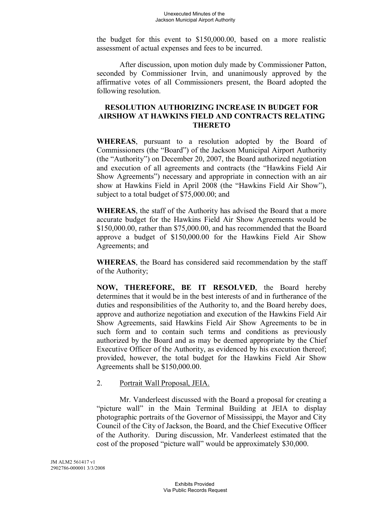the budget for this event to \$150,000.00, based on a more realistic assessment of actual expenses and fees to be incurred.

After discussion, upon motion duly made by Commissioner Patton, seconded by Commissioner Irvin, and unanimously approved by the affirmative votes of all Commissioners present, the Board adopted the following resolution.

#### **RESOLUTION AUTHORIZING INCREASE IN BUDGET FOR AIRSHOW AT HAWKINS FIELD AND CONTRACTS RELATING THERETO**

**WHEREAS**, pursuant to a resolution adopted by the Board of Commissioners (the "Board") of the Jackson Municipal Airport Authority (the "Authority") on December 20, 2007, the Board authorized negotiation and execution of all agreements and contracts (the "Hawkins Field Air Show Agreements") necessary and appropriate in connection with an air show at Hawkins Field in April 2008 (the "Hawkins Field Air Show"), subject to a total budget of \$75,000.00; and

**WHEREAS**, the staff of the Authority has advised the Board that a more accurate budget for the Hawkins Field Air Show Agreements would be \$150,000.00, rather than \$75,000.00, and has recommended that the Board approve a budget of \$150,000.00 for the Hawkins Field Air Show Agreements; and

**WHEREAS**, the Board has considered said recommendation by the staff of the Authority;

**NOW, THEREFORE, BE IT RESOLVED**, the Board hereby determines that it would be in the best interests of and in furtherance of the duties and responsibilities of the Authority to, and the Board hereby does, approve and authorize negotiation and execution of the Hawkins Field Air Show Agreements, said Hawkins Field Air Show Agreements to be in such form and to contain such terms and conditions as previously authorized by the Board and as may be deemed appropriate by the Chief Executive Officer of the Authority, as evidenced by his execution thereof; provided, however, the total budget for the Hawkins Field Air Show Agreements shall be \$150,000.00.

#### 2. Portrait Wall Proposal, JEIA.

Mr. Vanderleest discussed with the Board a proposal for creating a "picture wall" in the Main Terminal Building at JEIA to display photographic portraits of the Governor of Mississippi, the Mayor and City Council of the City of Jackson, the Board, and the Chief Executive Officer of the Authority. During discussion, Mr. Vanderleest estimated that the cost of the proposed "picture wall" would be approximately \$30,000.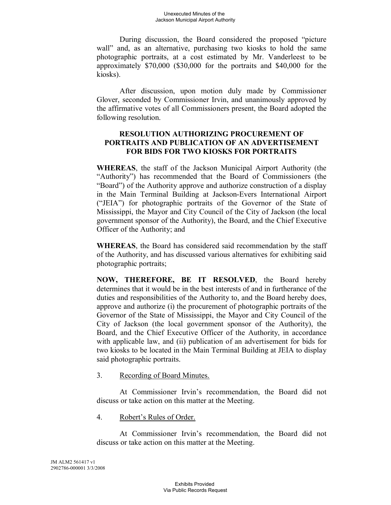During discussion, the Board considered the proposed "picture wall" and, as an alternative, purchasing two kiosks to hold the same photographic portraits, at a cost estimated by Mr. Vanderleest to be approximately \$70,000 (\$30,000 for the portraits and \$40,000 for the kiosks).

After discussion, upon motion duly made by Commissioner Glover, seconded by Commissioner Irvin, and unanimously approved by the affirmative votes of all Commissioners present, the Board adopted the following resolution.

## **RESOLUTION AUTHORIZING PROCUREMENT OF PORTRAITS AND PUBLICATION OF AN ADVERTISEMENT FOR BIDS FOR TWO KIOSKS FOR PORTRAITS**

**WHEREAS**, the staff of the Jackson Municipal Airport Authority (the "Authority") has recommended that the Board of Commissioners (the "Board") of the Authority approve and authorize construction of a display in the Main Terminal Building at Jackson-Evers International Airport ("JEIA") for photographic portraits of the Governor of the State of Mississippi, the Mayor and City Council of the City of Jackson (the local government sponsor of the Authority), the Board, and the Chief Executive Officer of the Authority; and

**WHEREAS**, the Board has considered said recommendation by the staff of the Authority, and has discussed various alternatives for exhibiting said photographic portraits;

**NOW, THEREFORE, BE IT RESOLVED**, the Board hereby determines that it would be in the best interests of and in furtherance of the duties and responsibilities of the Authority to, and the Board hereby does, approve and authorize (i) the procurement of photographic portraits of the Governor of the State of Mississippi, the Mayor and City Council of the City of Jackson (the local government sponsor of the Authority), the Board, and the Chief Executive Officer of the Authority, in accordance with applicable law, and (ii) publication of an advertisement for bids for two kiosks to be located in the Main Terminal Building at JEIA to display said photographic portraits.

#### 3. Recording of Board Minutes.

At Commissioner Irvin's recommendation, the Board did not discuss or take action on this matter at the Meeting.

4. Robert's Rules of Order.

At Commissioner Irvin's recommendation, the Board did not discuss or take action on this matter at the Meeting.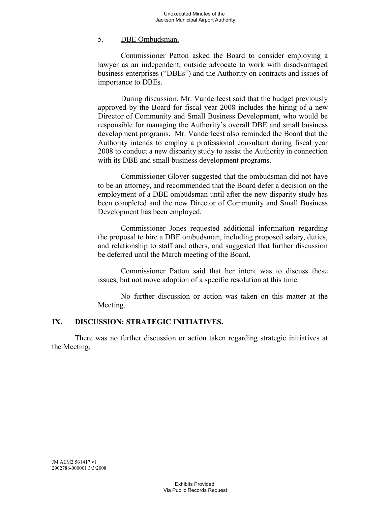#### 5. DBE Ombudsman.

Commissioner Patton asked the Board to consider employing a lawyer as an independent, outside advocate to work with disadvantaged business enterprises ("DBEs") and the Authority on contracts and issues of importance to DBEs.

During discussion, Mr. Vanderleest said that the budget previously approved by the Board for fiscal year 2008 includes the hiring of a new Director of Community and Small Business Development, who would be responsible for managing the Authority's overall DBE and small business development programs. Mr. Vanderleest also reminded the Board that the Authority intends to employ a professional consultant during fiscal year 2008 to conduct a new disparity study to assist the Authority in connection with its DBE and small business development programs.

Commissioner Glover suggested that the ombudsman did not have to be an attorney, and recommended that the Board defer a decision on the employment of a DBE ombudsman until after the new disparity study has been completed and the new Director of Community and Small Business Development has been employed.

Commissioner Jones requested additional information regarding the proposal to hire a DBE ombudsman, including proposed salary, duties, and relationship to staff and others, and suggested that further discussion be deferred until the March meeting of the Board.

Commissioner Patton said that her intent was to discuss these issues, but not move adoption of a specific resolution at this time.

No further discussion or action was taken on this matter at the Meeting.

## **IX. DISCUSSION: STRATEGIC INITIATIVES.**

There was no further discussion or action taken regarding strategic initiatives at the Meeting.